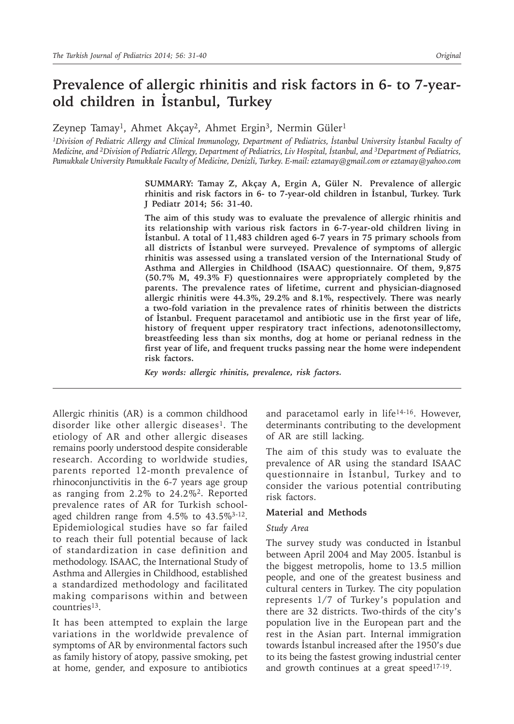# **Prevalence of allergic rhinitis and risk factors in 6- to 7-yearold children in İstanbul, Turkey**

Zeynep Tamay<sup>1</sup>, Ahmet Akçay<sup>2</sup>, Ahmet Ergin<sup>3</sup>, Nermin Güler<sup>1</sup>

<sup>1</sup>Division of Pediatric Allergy and Clinical Immunology, Department of Pediatrics, İstanbul University İstanbul Faculty of *Medicine, and 2Division of Pediatric Allergy, Department of Pediatrics, Liv Hospital, İstanbul, and 3Department of Pediatrics, Pamukkale University Pamukkale Faculty of Medicine, Denizli, Turkey. E-mail: eztamay@gmail.com or eztamay@yahoo.com*

> **SUMMARY: Tamay Z, Akçay A, Ergin A, Güler N. Prevalence of allergic rhinitis and risk factors in 6- to 7-year-old children in İstanbul, Turkey. Turk J Pediatr 2014; 56: 31-40.**

> **The aim of this study was to evaluate the prevalence of allergic rhinitis and its relationship with various risk factors in 6-7-year-old children living in İstanbul. A total of 11,483 children aged 6-7 years in 75 primary schools from all districts of İstanbul were surveyed. Prevalence of symptoms of allergic rhinitis was assessed using a translated version of the International Study of Asthma and Allergies in Childhood (ISAAC) questionnaire. Of them, 9,875 (50.7% M, 49.3% F) questionnaires were appropriately completed by the parents. The prevalence rates of lifetime, current and physician-diagnosed allergic rhinitis were 44.3%, 29.2% and 8.1%, respectively. There was nearly a two-fold variation in the prevalence rates of rhinitis between the districts of İstanbul. Frequent paracetamol and antibiotic use in the first year of life, history of frequent upper respiratory tract infections, adenotonsillectomy, breastfeeding less than six months, dog at home or perianal redness in the first year of life, and frequent trucks passing near the home were independent risk factors.**

*Key words: allergic rhinitis, prevalence, risk factors.*

Allergic rhinitis (AR) is a common childhood disorder like other allergic diseases<sup>1</sup>. The etiology of AR and other allergic diseases remains poorly understood despite considerable research. According to worldwide studies, parents reported 12-month prevalence of rhinoconjunctivitis in the 6-7 years age group as ranging from 2.2% to 24.2%<sup>2</sup>. Reported prevalence rates of AR for Turkish schoolaged children range from 4.5% to 43.5%<sup>3-12</sup>. Epidemiological studies have so far failed to reach their full potential because of lack of standardization in case definition and methodology. ISAAC, the International Study of Asthma and Allergies in Childhood, established a standardized methodology and facilitated making comparisons within and between countries<sup>13</sup>.

It has been attempted to explain the large variations in the worldwide prevalence of symptoms of AR by environmental factors such as family history of atopy, passive smoking, pet at home, gender, and exposure to antibiotics

and paracetamol early in life14-16. However, determinants contributing to the development of AR are still lacking.

The aim of this study was to evaluate the prevalence of AR using the standard ISAAC questionnaire in İstanbul, Turkey and to consider the various potential contributing risk factors.

#### **Material and Methods**

#### *Study Area*

The survey study was conducted in İstanbul between April 2004 and May 2005. İstanbul is the biggest metropolis, home to 13.5 million people, and one of the greatest business and cultural centers in Turkey. The city population represents 1/7 of Turkey's population and there are 32 districts. Two-thirds of the city's population live in the European part and the rest in the Asian part. Internal immigration towards İstanbul increased after the 1950's due to its being the fastest growing industrial center and growth continues at a great speed $17-19$ .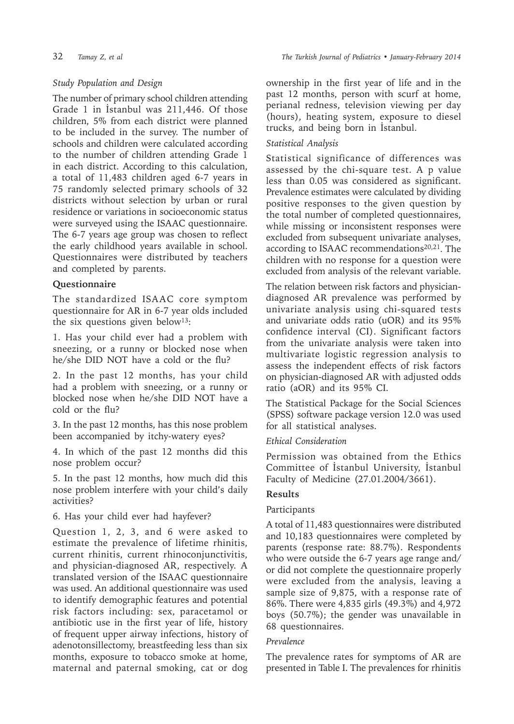## *Study Population and Design*

The number of primary school children attending Grade 1 in İstanbul was 211,446. Of those children, 5% from each district were planned to be included in the survey. The number of schools and children were calculated according to the number of children attending Grade 1 in each district. According to this calculation, a total of 11,483 children aged 6-7 years in 75 randomly selected primary schools of 32 districts without selection by urban or rural residence or variations in socioeconomic status were surveyed using the ISAAC questionnaire. The 6-7 years age group was chosen to reflect the early childhood years available in school. Questionnaires were distributed by teachers and completed by parents.

## **Questionnaire**

The standardized ISAAC core symptom questionnaire for AR in 6-7 year olds included the six questions given below<sup>13</sup>:

1. Has your child ever had a problem with sneezing, or a runny or blocked nose when he/she DID NOT have a cold or the flu?

2. In the past 12 months, has your child had a problem with sneezing, or a runny or blocked nose when he/she DID NOT have a cold or the flu?

3. In the past 12 months, has this nose problem been accompanied by itchy-watery eyes?

4. In which of the past 12 months did this nose problem occur?

5. In the past 12 months, how much did this nose problem interfere with your child's daily activities?

6. Has your child ever had hayfever?

Question 1, 2, 3, and 6 were asked to estimate the prevalence of lifetime rhinitis, current rhinitis, current rhinoconjunctivitis, and physician-diagnosed AR, respectively. A translated version of the ISAAC questionnaire was used. An additional questionnaire was used to identify demographic features and potential risk factors including: sex, paracetamol or antibiotic use in the first year of life, history of frequent upper airway infections, history of adenotonsillectomy, breastfeeding less than six months, exposure to tobacco smoke at home, maternal and paternal smoking, cat or dog

ownership in the first year of life and in the past 12 months, person with scurf at home, perianal redness, television viewing per day (hours), heating system, exposure to diesel trucks, and being born in İstanbul.

#### *Statistical Analysis*

Statistical significance of differences was assessed by the chi-square test. A p value less than 0.05 was considered as significant. Prevalence estimates were calculated by dividing positive responses to the given question by the total number of completed questionnaires, while missing or inconsistent responses were excluded from subsequent univariate analyses, according to ISAAC recommendations<sup>20,21</sup>. The children with no response for a question were excluded from analysis of the relevant variable.

The relation between risk factors and physiciandiagnosed AR prevalence was performed by univariate analysis using chi-squared tests and univariate odds ratio (uOR) and its 95% confidence interval (CI). Significant factors from the univariate analysis were taken into multivariate logistic regression analysis to assess the independent effects of risk factors on physician-diagnosed AR with adjusted odds ratio (aOR) and its 95% CI.

The Statistical Package for the Social Sciences (SPSS) software package version 12.0 was used for all statistical analyses.

## *Ethical Consideration*

Permission was obtained from the Ethics Committee of İstanbul University, İstanbul Faculty of Medicine (27.01.2004/3661).

## **Results**

## Participants

A total of 11,483 questionnaires were distributed and 10,183 questionnaires were completed by parents (response rate: 88.7%). Respondents who were outside the 6-7 years age range and/ or did not complete the questionnaire properly were excluded from the analysis, leaving a sample size of 9,875, with a response rate of 86%. There were 4,835 girls (49.3%) and 4,972 boys (50.7%); the gender was unavailable in 68 questionnaires.

## *Prevalence*

The prevalence rates for symptoms of AR are presented in Table I. The prevalences for rhinitis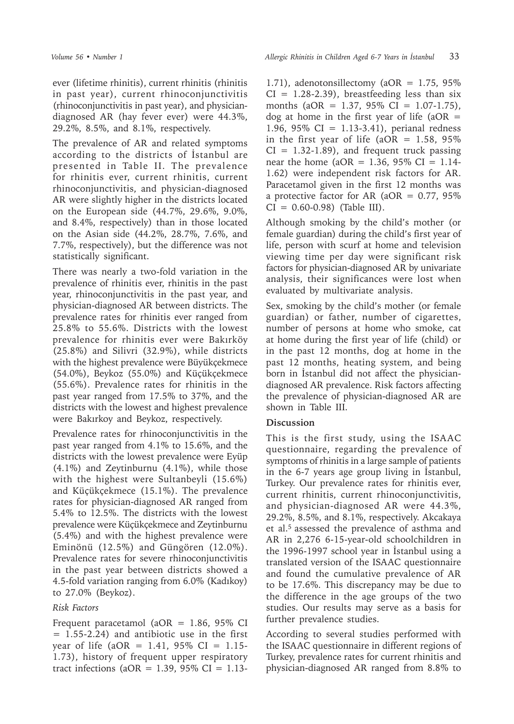ever (lifetime rhinitis), current rhinitis (rhinitis in past year), current rhinoconjunctivitis (rhinoconjunctivitis in past year), and physiciandiagnosed AR (hay fever ever) were 44.3%, 29.2%, 8.5%, and 8.1%, respectively.

The prevalence of AR and related symptoms according to the districts of İstanbul are presented in Table II. The prevalence for rhinitis ever, current rhinitis, current rhinoconjunctivitis, and physician-diagnosed AR were slightly higher in the districts located on the European side (44.7%, 29.6%, 9.0%, and 8.4%, respectively) than in those located on the Asian side (44.2%, 28.7%, 7.6%, and 7.7%, respectively), but the difference was not statistically significant.

There was nearly a two-fold variation in the prevalence of rhinitis ever, rhinitis in the past year, rhinoconjunctivitis in the past year, and physician-diagnosed AR between districts. The prevalence rates for rhinitis ever ranged from 25.8% to 55.6%. Districts with the lowest prevalence for rhinitis ever were Bakırköy (25.8%) and Silivri (32.9%), while districts with the highest prevalence were Büyükçekmece (54.0%), Beykoz (55.0%) and Küçükçekmece (55.6%). Prevalence rates for rhinitis in the past year ranged from 17.5% to 37%, and the districts with the lowest and highest prevalence were Bakırkoy and Beykoz, respectively.

Prevalence rates for rhinoconjunctivitis in the past year ranged from 4.1% to 15.6%, and the districts with the lowest prevalence were Eyüp (4.1%) and Zeytinburnu (4.1%), while those with the highest were Sultanbeyli (15.6%) and Küçükçekmece (15.1%). The prevalence rates for physician-diagnosed AR ranged from 5.4% to 12.5%. The districts with the lowest prevalence were Küçükçekmece and Zeytinburnu (5.4%) and with the highest prevalence were Eminönü (12.5%) and Güngören (12.0%). Prevalence rates for severe rhinoconjunctivitis in the past year between districts showed a 4.5-fold variation ranging from 6.0% (Kadıkoy) to 27.0% (Beykoz).

#### *Risk Factors*

Frequent paracetamol (aOR =  $1.86$ , 95% CI  $= 1.55 - 2.24$  and antibiotic use in the first year of life (aOR = 1.41,  $95\%$  CI = 1.15-1.73), history of frequent upper respiratory tract infections (aOR =  $1.39$ , 95% CI =  $1.13$ -

1.71), adenotonsillectomy ( $aOR = 1.75$ , 95%  $CI = 1.28 - 2.39$ , breastfeeding less than six months (aOR = 1.37, 95% CI = 1.07-1.75), dog at home in the first year of life ( $aOR =$ 1.96, 95% CI = 1.13-3.41), perianal redness in the first year of life (aOR =  $1.58$ , 95%  $CI = 1.32 - 1.89$ , and frequent truck passing near the home (aOR =  $1.36$ , 95% CI =  $1.14$ -1.62) were independent risk factors for AR. Paracetamol given in the first 12 months was a protective factor for AR ( $aOR = 0.77$ , 95%)  $CI = 0.60 - 0.98$  (Table III).

Although smoking by the child's mother (or female guardian) during the child's first year of life, person with scurf at home and television viewing time per day were significant risk factors for physician-diagnosed AR by univariate analysis, their significances were lost when evaluated by multivariate analysis.

Sex, smoking by the child's mother (or female guardian) or father, number of cigarettes, number of persons at home who smoke, cat at home during the first year of life (child) or in the past 12 months, dog at home in the past 12 months, heating system, and being born in İstanbul did not affect the physiciandiagnosed AR prevalence. Risk factors affecting the prevalence of physician-diagnosed AR are shown in Table III.

## **Discussion**

This is the first study, using the ISAAC questionnaire, regarding the prevalence of symptoms of rhinitis in a large sample of patients in the 6-7 years age group living in İstanbul, Turkey. Our prevalence rates for rhinitis ever, current rhinitis, current rhinoconjunctivitis, and physician-diagnosed AR were 44.3%, 29.2%, 8.5%, and 8.1%, respectively. Akcakaya et al.5 assessed the prevalence of asthma and AR in 2,276 6-15-year-old schoolchildren in the 1996-1997 school year in İstanbul using a translated version of the ISAAC questionnaire and found the cumulative prevalence of AR to be 17.6%. This discrepancy may be due to the difference in the age groups of the two studies. Our results may serve as a basis for further prevalence studies.

According to several studies performed with the ISAAC questionnaire in different regions of Turkey, prevalence rates for current rhinitis and physician-diagnosed AR ranged from 8.8% to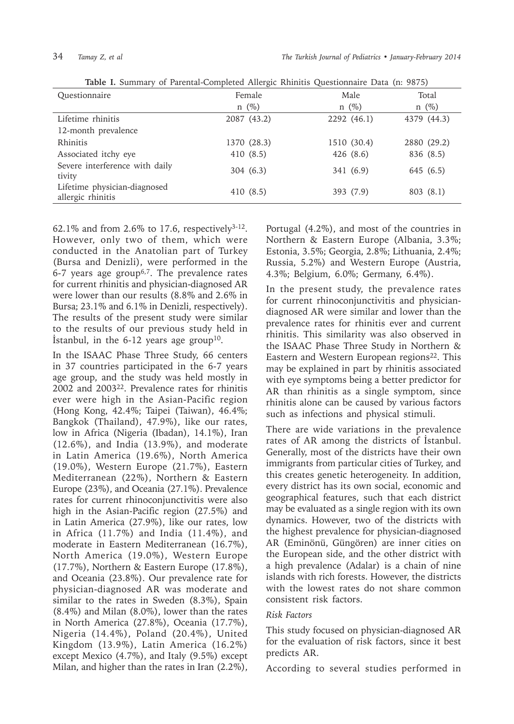| Table 1. Banning of Farental Completed Tinergic Rimited Questionnance Data (n. 2013) |             |             |             |  |
|--------------------------------------------------------------------------------------|-------------|-------------|-------------|--|
| Questionnaire                                                                        | Female      | Male        | Total       |  |
|                                                                                      | $n \ (\%)$  | $n \ (\%)$  | $n \ (\%)$  |  |
| Lifetime rhinitis                                                                    | 2087 (43.2) | 2292 (46.1) | 4379 (44.3) |  |
| 12-month prevalence                                                                  |             |             |             |  |
| Rhinitis                                                                             | 1370 (28.3) | 1510 (30.4) | 2880 (29.2) |  |
| Associated itchy eye                                                                 | 410 (8.5)   | 426(8.6)    | 836 (8.5)   |  |
| Severe interference with daily<br>tivity                                             | 304(6.3)    | 341 (6.9)   | 645 (6.5)   |  |
| Lifetime physician-diagnosed<br>allergic rhinitis                                    | 410(8.5)    | 393 (7.9)   | 803(8.1)    |  |

**Table I.** Summary of Parental-Completed Allergic Rhinitis Questionnaire Data (n: 9875)

62.1% and from 2.6% to 17.6, respectively<sup>3-12</sup>. However, only two of them, which were conducted in the Anatolian part of Turkey (Bursa and Denizli), were performed in the 6-7 years age group<sup>6,7</sup>. The prevalence rates for current rhinitis and physician-diagnosed AR were lower than our results (8.8% and 2.6% in Bursa; 23.1% and 6.1% in Denizli, respectively). The results of the present study were similar to the results of our previous study held in Istanbul, in the  $6-12$  years age group<sup>10</sup>.

In the ISAAC Phase Three Study, 66 centers in 37 countries participated in the 6-7 years age group, and the study was held mostly in 2002 and 2003<sup>22</sup>. Prevalence rates for rhinitis ever were high in the Asian-Pacific region (Hong Kong, 42.4%; Taipei (Taiwan), 46.4%; Bangkok (Thailand), 47.9%), like our rates, low in Africa (Nigeria (Ibadan), 14.1%), Iran (12.6%), and India (13.9%), and moderate in Latin America (19.6%), North America (19.0%), Western Europe (21.7%), Eastern Mediterranean (22%), Northern & Eastern Europe (23%), and Oceania (27.1%). Prevalence rates for current rhinoconjunctivitis were also high in the Asian-Pacific region (27.5%) and in Latin America (27.9%), like our rates, low in Africa (11.7%) and India (11.4%), and moderate in Eastern Mediterranean (16.7%), North America (19.0%), Western Europe (17.7%), Northern & Eastern Europe (17.8%), and Oceania (23.8%). Our prevalence rate for physician-diagnosed AR was moderate and similar to the rates in Sweden (8.3%), Spain (8.4%) and Milan (8.0%), lower than the rates in North America (27.8%), Oceania (17.7%), Nigeria (14.4%), Poland (20.4%), United Kingdom (13.9%), Latin America (16.2%) except Mexico (4.7%), and Italy (9.5%) except Milan, and higher than the rates in Iran (2.2%),

Portugal (4.2%), and most of the countries in Northern & Eastern Europe (Albania, 3.3%; Estonia, 3.5%; Georgia, 2.8%; Lithuania, 2.4%; Russia, 5.2%) and Western Europe (Austria, 4.3%; Belgium, 6.0%; Germany, 6.4%).

In the present study, the prevalence rates for current rhinoconjunctivitis and physiciandiagnosed AR were similar and lower than the prevalence rates for rhinitis ever and current rhinitis. This similarity was also observed in the ISAAC Phase Three Study in Northern & Eastern and Western European regions<sup>22</sup>. This may be explained in part by rhinitis associated with eye symptoms being a better predictor for AR than rhinitis as a single symptom, since rhinitis alone can be caused by various factors such as infections and physical stimuli.

There are wide variations in the prevalence rates of AR among the districts of İstanbul. Generally, most of the districts have their own immigrants from particular cities of Turkey, and this creates genetic heterogeneity. In addition, every district has its own social, economic and geographical features, such that each district may be evaluated as a single region with its own dynamics. However, two of the districts with the highest prevalence for physician-diagnosed AR (Eminönü, Güngören) are inner cities on the European side, and the other district with a high prevalence (Adalar) is a chain of nine islands with rich forests. However, the districts with the lowest rates do not share common consistent risk factors.

#### *Risk Factors*

This study focused on physician-diagnosed AR for the evaluation of risk factors, since it best predicts AR.

According to several studies performed in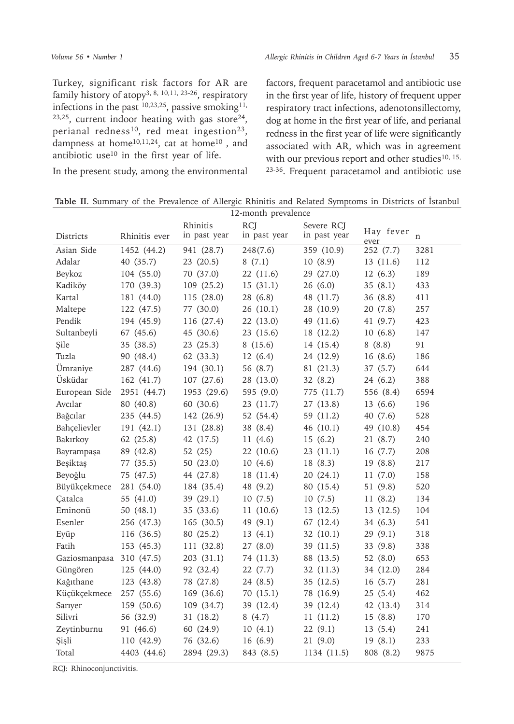Turkey, significant risk factors for AR are family history of atopy<sup>3, 8, 10, 11, 23-26</sup>, respiratory infections in the past 10,23,25, passive smoking11,  $23,25$ , current indoor heating with gas store<sup>24</sup>, perianal redness<sup>10</sup>, red meat ingestion<sup>23</sup>, dampness at home<sup>10,11,24</sup>, cat at home<sup>10</sup>, and antibiotic use<sup>10</sup> in the first year of life.

In the present study, among the environmental

factors, frequent paracetamol and antibiotic use in the first year of life, history of frequent upper respiratory tract infections, adenotonsillectomy, dog at home in the first year of life, and perianal redness in the first year of life were significantly associated with AR, which was in agreement with our previous report and other studies $10, 15$ , 23-36. Frequent paracetamol and antibiotic use

**Table II**. Summary of the Prevalence of Allergic Rhinitis and Related Symptoms in Districts of İstanbul

| 12-month prevalence      |               |                          |                            |                            |                   |             |
|--------------------------|---------------|--------------------------|----------------------------|----------------------------|-------------------|-------------|
| Districts                | Rhinitis ever | Rhinitis<br>in past year | <b>RCJ</b><br>in past year | Severe RCJ<br>in past year | Hay fever<br>ever | $\mathbf n$ |
| Asian Side               | 1452(44.2)    | 941 (28.7)               | 248(7.6)                   | 359(10.9)                  | 252 (7.7)         | 3281        |
| Adalar                   | 40 (35.7)     | 23 (20.5)                | 8(7.1)                     | 10(8.9)                    | 13(11.6)          | 112         |
| Beykoz                   | 104 (55.0)    | 70 (37.0)                | 22 (11.6)                  | 29 (27.0)                  | 12(6.3)           | 189         |
| Kadiköy                  | 170 (39.3)    | 109 (25.2)               | 15(31.1)                   | 26(6.0)                    | 35(8.1)           | 433         |
| Kartal                   | 181 (44.0)    | 115 (28.0)               | 28 (6.8)                   | 48 (11.7)                  | 36 (8.8)          | 411         |
| Maltepe                  | 122 (47.5)    | 77 (30.0)                | 26 (10.1)                  | 28 (10.9)                  | 20(7.8)           | 257         |
| Pendik                   | 194 (45.9)    | 116 (27.4)               | 22 (13.0)                  | 49 (11.6)                  | 41 (9.7)          | 423         |
| Sultanbeyli              | 67 (45.6)     | 45 (30.6)                | 23 (15.6)                  | 18 (12.2)                  | 10(6.8)           | 147         |
| Şile                     | 35 (38.5)     | 23(25.3)                 | 8(15.6)                    | 14 (15.4)                  | 8(8.8)            | 91          |
| Tuzla                    | 90 (48.4)     | 62 (33.3)                | 12(6.4)                    | 24 (12.9)                  | 16(8.6)           | 186         |
| Ümraniye                 | 287 (44.6)    | 194 (30.1)               | 56 (8.7)                   | 81 (21.3)                  | 37 (5.7)          | 644         |
| Üsküdar                  | 162 (41.7)    | 107(27.6)                | 28 (13.0)                  | 32 (8.2)                   | 24 (6.2)          | 388         |
| European Side            | 2951 (44.7)   | 1953 (29.6)              | 595 (9.0)                  | 775 (11.7)                 | 556 (8.4)         | 6594        |
| Avcılar                  | 80 (40.8)     | 60 (30.6)                | 23(11.7)                   | 27 (13.8)                  | 13(6.6)           | 196         |
| Bağcılar                 | 235 (44.5)    | 142 (26.9)               | 52 (54.4)                  | 59 (11.2)                  | 40 (7.6)          | 528         |
| Bahçelievler             | 191 (42.1)    | 131 (28.8)               | 38 (8.4)                   | 46 (10.1)                  | 49 (10.8)         | 454         |
| Bakırkoy                 | 62 (25.8)     | 42 (17.5)                | 11(4.6)                    | 15(6.2)                    | 21 (8.7)          | 240         |
| Bayrampaşa               | 89 (42.8)     | 52 (25)                  | 22 (10.6)                  | 23(11.1)                   | 16(7.7)           | 208         |
| Beşiktaş                 | 77 (35.5)     | 50 (23.0)                | 10(4.6)                    | 18 (8.3)                   | 19 (8.8)          | 217         |
| Beyoğlu                  | 75 (47.5)     | 44 (27.8)                | 18 (11.4)                  | 20(24.1)                   | 11(7.0)           | 158         |
| Büyükçekmece             | 281 (54.0)    | 184 (35.4)               | 48 (9.2)                   | 80 (15.4)                  | 51 (9.8)          | 520         |
| Çatalca                  | 55 (41.0)     | 39 (29.1)                | 10(7.5)                    | 10(7.5)                    | 11(8.2)           | 134         |
| Eminonü                  | 50 $(48.1)$   | 35 (33.6)                | 11(10.6)                   | 13(12.5)                   | 13(12.5)          | 104         |
| Esenler                  | 256 (47.3)    | 165 (30.5)               | 49 (9.1)                   | 67 (12.4)                  | 34(6.3)           | 541         |
| Eyüp                     | 116 (36.5)    | 80 (25.2)                | 13(4.1)                    | 32 (10.1)                  | 29(9.1)           | 318         |
| Fatih                    | 153 (45.3)    | 111 (32.8)               | 27(8.0)                    | 39 (11.5)                  | 33 (9.8)          | 338         |
| Gaziosmanpasa 310 (47.5) |               | 203(31.1)                | 74 (11.3)                  | 88 (13.5)                  | 52 (8.0)          | 653         |
| Güngören                 | 125 (44.0)    | 92 (32.4)                | 22 (7.7)                   | 32 (11.3)                  | 34 (12.0)         | 284         |
| Kağıthane                | 123 (43.8)    | 78 (27.8)                | 24 (8.5)                   | 35 (12.5)                  | 16(5.7)           | 281         |
| Küçükçekmece             | 257 (55.6)    | 169 (36.6)               | 70 (15.1)                  | 78 (16.9)                  | 25(5.4)           | 462         |
| Sarıyer                  | 159 (50.6)    | 109 (34.7)               | 39 (12.4)                  | 39 (12.4)                  | 42 (13.4)         | 314         |
| Silivri                  | 56 (32.9)     | 31 (18.2)                | 8(4.7)                     | 11(11.2)                   | 15(8.8)           | 170         |
| Zeytinburnu              | 91 (46.6)     | 60 (24.9)                | 10(4.1)                    | 22(9.1)                    | 13(5.4)           | 241         |
| Şişli                    | 110 (42.9)    | 76 (32.6)                | 16(6.9)                    | 21(9.0)                    | 19 (8.1)          | 233         |
| Total                    | 4403 (44.6)   | 2894 (29.3)              | 843 (8.5)                  | 1134 (11.5)                | 808 (8.2)         | 9875        |

RCJ: Rhinoconjunctivitis.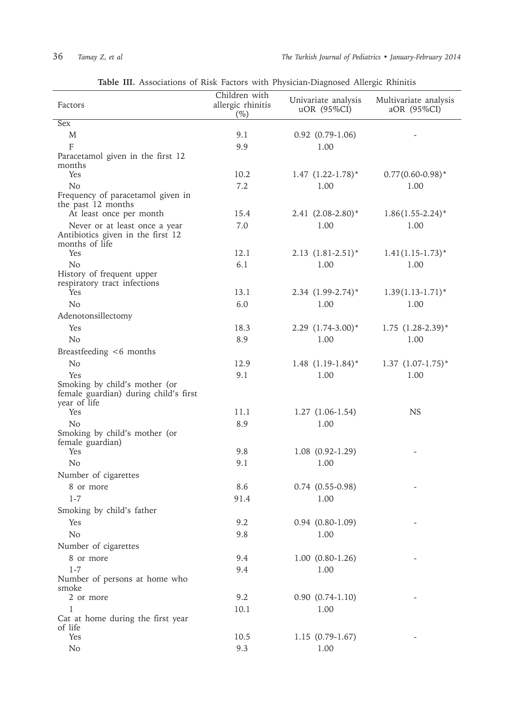| Factors                                                 | Children with<br>allergic rhinitis<br>$(\%)$ | Univariate analysis<br>uOR (95%CI) | Multivariate analysis<br>aOR (95%CI) |
|---------------------------------------------------------|----------------------------------------------|------------------------------------|--------------------------------------|
| <b>Sex</b>                                              |                                              |                                    |                                      |
| M                                                       | 9.1                                          | $0.92$ $(0.79-1.06)$               |                                      |
| $\mathbf{F}$                                            | 9.9                                          | 1.00                               |                                      |
| Paracetamol given in the first 12                       |                                              |                                    |                                      |
| months                                                  |                                              |                                    |                                      |
| Yes                                                     | 10.2                                         | $1.47$ $(1.22-1.78)$ <sup>*</sup>  | $0.77(0.60-0.98)$ *                  |
| N <sub>0</sub>                                          | 7.2                                          | 1.00                               | 1.00                                 |
| Frequency of paracetamol given in<br>the past 12 months |                                              |                                    |                                      |
| At least once per month                                 | 15.4                                         | $2.41 (2.08 - 2.80)^*$             | $1.86(1.55-2.24)$ *                  |
| Never or at least once a year                           | 7.0                                          | 1.00                               | 1.00                                 |
| Antibiotics given in the first 12                       |                                              |                                    |                                      |
| months of life                                          |                                              |                                    |                                      |
| <b>Yes</b>                                              | 12.1                                         | $2.13$ $(1.81-2.51)$ <sup>*</sup>  | $1.41(1.15-1.73)$ *                  |
| N <sub>o</sub><br>History of frequent upper             | 6.1                                          | 1.00                               | 1.00                                 |
| respiratory tract infections                            |                                              |                                    |                                      |
| Yes                                                     | 13.1                                         | $2.34$ $(1.99-2.74)$ <sup>*</sup>  | $1.39(1.13-1.71)*$                   |
| N <sub>o</sub>                                          | 6.0                                          | 1.00                               | 1.00                                 |
| Adenotonsillectomy                                      |                                              |                                    |                                      |
| Yes                                                     | 18.3                                         | $2.29$ $(1.74-3.00)*$              | $1.75$ $(1.28-2.39)$ <sup>*</sup>    |
| N <sub>o</sub>                                          | 8.9                                          | 1.00                               | 1.00                                 |
| Breastfeeding <6 months                                 |                                              |                                    |                                      |
| No                                                      | 12.9                                         | $1.48$ $(1.19-1.84)$ <sup>*</sup>  | $1.37$ $(1.07-1.75)$ <sup>*</sup>    |
| <b>Yes</b>                                              | 9.1                                          | 1.00                               | 1.00                                 |
| Smoking by child's mother (or                           |                                              |                                    |                                      |
| female guardian) during child's first                   |                                              |                                    |                                      |
| year of life                                            |                                              |                                    |                                      |
| Yes                                                     | 11.1                                         | $1.27(1.06-1.54)$                  | NS.                                  |
| No<br>Smoking by child's mother (or                     | 8.9                                          | 1.00                               |                                      |
| female guardian)                                        |                                              |                                    |                                      |
| Yes                                                     | 9.8                                          | $1.08(0.92-1.29)$                  |                                      |
| No                                                      | 9.1                                          | 1.00                               |                                      |
| Number of cigarettes                                    |                                              |                                    |                                      |
| 8 or more                                               | 8.6                                          | $0.74(0.55-0.98)$                  |                                      |
| $1 - 7$                                                 | 91.4                                         | 1.00                               |                                      |
| Smoking by child's father                               |                                              |                                    |                                      |
| Yes                                                     | 9.2                                          | $0.94$ $(0.80-1.09)$               |                                      |
| No                                                      | 9.8                                          | 1.00                               |                                      |
| Number of cigarettes                                    |                                              |                                    |                                      |
| 8 or more                                               | 9.4                                          | $1.00 (0.80-1.26)$                 |                                      |
| $1 - 7$                                                 | 9.4                                          | 1.00                               |                                      |
| Number of persons at home who                           |                                              |                                    |                                      |
| smoke                                                   |                                              |                                    |                                      |
| 2 or more                                               | 9.2                                          | $0.90 (0.74-1.10)$                 |                                      |
| 1<br>Cat at home during the first year                  | 10.1                                         | 1.00                               |                                      |
| of life                                                 |                                              |                                    |                                      |
| Yes                                                     | 10.5                                         | $1.15(0.79-1.67)$                  |                                      |
| No                                                      | 9.3                                          | 1.00                               |                                      |

**Table III.** Associations of Risk Factors with Physician-Diagnosed Allergic Rhinitis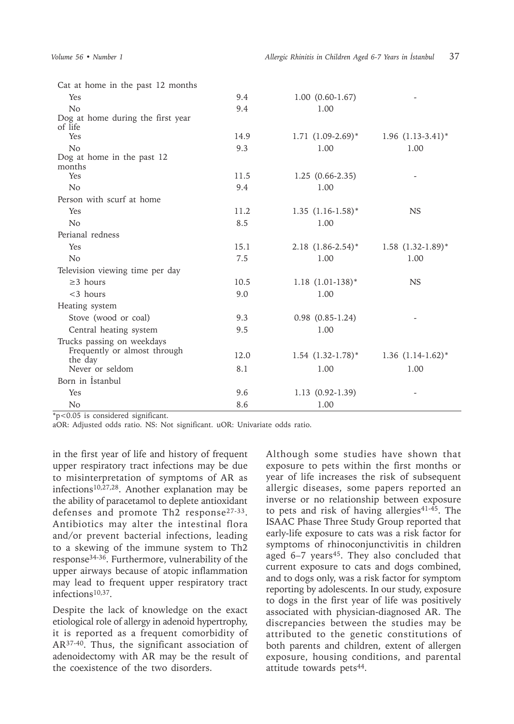| Cat at home in the past 12 months    |      |                                   |                                   |
|--------------------------------------|------|-----------------------------------|-----------------------------------|
| Yes                                  | 9.4  | $1.00 (0.60-1.67)$                |                                   |
| No                                   | 9.4  | 1.00                              |                                   |
| Dog at home during the first year    |      |                                   |                                   |
| of life                              |      |                                   |                                   |
| Yes                                  | 14.9 | $1.71(1.09-2.69)*$                | $1.96$ $(1.13-3.41)$ <sup>*</sup> |
| No                                   | 9.3  | 1.00                              | 1.00                              |
| Dog at home in the past 12<br>months |      |                                   |                                   |
| Yes                                  | 11.5 | $1.25(0.66-2.35)$                 |                                   |
| N <sub>o</sub>                       | 9.4  | 1.00                              |                                   |
| Person with scurf at home            |      |                                   |                                   |
| Yes                                  | 11.2 | $1.35$ $(1.16-1.58)$ <sup>*</sup> | <b>NS</b>                         |
| N <sub>o</sub>                       | 8.5  | 1.00                              |                                   |
|                                      |      |                                   |                                   |
| Perianal redness                     |      |                                   |                                   |
| Yes                                  | 15.1 | $2.18$ $(1.86-2.54)$ <sup>*</sup> | $1.58$ $(1.32-1.89)$ *            |
| No                                   | 7.5  | 1.00                              | 1.00                              |
| Television viewing time per day      |      |                                   |                                   |
| $\geq$ 3 hours                       | 10.5 | $1.18$ $(1.01-138)*$              | <b>NS</b>                         |
| $<$ 3 hours                          | 9.0  | 1.00                              |                                   |
| Heating system                       |      |                                   |                                   |
| Stove (wood or coal)                 | 9.3  | $0.98$ $(0.85-1.24)$              |                                   |
| Central heating system               | 9.5  | 1.00                              |                                   |
| Trucks passing on weekdays           |      |                                   |                                   |
| Frequently or almost through         | 12.0 | $1.54$ $(1.32-1.78)$ <sup>*</sup> | $1.36$ $(1.14-1.62)^*$            |
| the day                              |      |                                   |                                   |
| Never or seldom                      | 8.1  | 1.00                              | 1.00                              |
| Born in Istanbul                     |      |                                   |                                   |
| Yes                                  | 9.6  | $1.13(0.92-1.39)$                 |                                   |
| N <sub>o</sub>                       | 8.6  | 1.00                              |                                   |

\*p<0.05 is considered significant.

aOR: Adjusted odds ratio. NS: Not significant. uOR: Univariate odds ratio.

in the first year of life and history of frequent upper respiratory tract infections may be due to misinterpretation of symptoms of AR as infections10,27,28. Another explanation may be the ability of paracetamol to deplete antioxidant defenses and promote Th2 response27-33. Antibiotics may alter the intestinal flora and/or prevent bacterial infections, leading to a skewing of the immune system to Th2 response34-36. Furthermore, vulnerability of the upper airways because of atopic inflammation may lead to frequent upper respiratory tract infections10,37.

Despite the lack of knowledge on the exact etiological role of allergy in adenoid hypertrophy, it is reported as a frequent comorbidity of AR37-40. Thus, the significant association of adenoidectomy with AR may be the result of the coexistence of the two disorders.

Although some studies have shown that exposure to pets within the first months or year of life increases the risk of subsequent allergic diseases, some papers reported an inverse or no relationship between exposure to pets and risk of having allergies<sup>41-45</sup>. The ISAAC Phase Three Study Group reported that early-life exposure to cats was a risk factor for symptoms of rhinoconjunctivitis in children aged  $6-7$  years<sup>45</sup>. They also concluded that current exposure to cats and dogs combined, and to dogs only, was a risk factor for symptom reporting by adolescents. In our study, exposure to dogs in the first year of life was positively associated with physician-diagnosed AR. The discrepancies between the studies may be attributed to the genetic constitutions of both parents and children, extent of allergen exposure, housing conditions, and parental attitude towards pets<sup>44</sup>.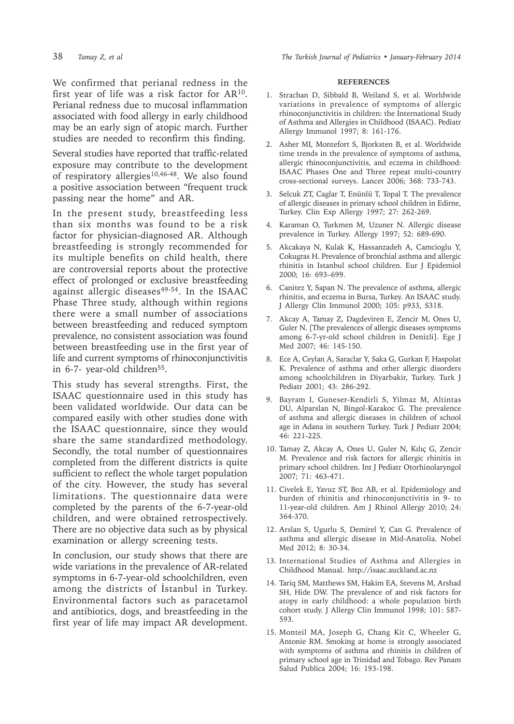We confirmed that perianal redness in the first year of life was a risk factor for AR10. Perianal redness due to mucosal inflammation associated with food allergy in early childhood may be an early sign of atopic march. Further studies are needed to reconfirm this finding.

Several studies have reported that traffic-related exposure may contribute to the development of respiratory allergies<sup>10,46-48</sup>. We also found a positive association between "frequent truck passing near the home" and AR.

In the present study, breastfeeding less than six months was found to be a risk factor for physician-diagnosed AR. Although breastfeeding is strongly recommended for its multiple benefits on child health, there are controversial reports about the protective effect of prolonged or exclusive breastfeeding against allergic diseases $49-54$ . In the ISAAC Phase Three study, although within regions there were a small number of associations between breastfeeding and reduced symptom prevalence, no consistent association was found between breastfeeding use in the first year of life and current symptoms of rhinoconjunctivitis in  $6-7$ - year-old children<sup>55</sup>.

This study has several strengths. First, the ISAAC questionnaire used in this study has been validated worldwide. Our data can be compared easily with other studies done with the ISAAC questionnaire, since they would share the same standardized methodology. Secondly, the total number of questionnaires completed from the different districts is quite sufficient to reflect the whole target population of the city. However, the study has several limitations. The questionnaire data were completed by the parents of the 6-7-year-old children, and were obtained retrospectively. There are no objective data such as by physical examination or allergy screening tests.

In conclusion, our study shows that there are wide variations in the prevalence of AR-related symptoms in 6-7-year-old schoolchildren, even among the districts of İstanbul in Turkey. Environmental factors such as paracetamol and antibiotics, dogs, and breastfeeding in the first year of life may impact AR development.

#### **REFERENCES**

- 1. Strachan D, Sibbald B, Weiland S, et al. Worldwide variations in prevalence of symptoms of allergic rhinoconjunctivitis in children: the International Study of Asthma and Allergies in Childhood (ISAAC). Pediatr Allergy Immunol 1997; 8: 161-176.
- 2. Asher MI, Montefort S, Bjorksten B, et al. Worldwide time trends in the prevalence of symptoms of asthma, allergic rhinoconjunctivitis, and eczema in childhood: ISAAC Phases One and Three repeat multi-country cross-sectional surveys. Lancet 2006; 368: 733-743.
- 3. Selcuk ZT, Caglar T, Enünlü T, Topal T. The prevalence of allergic diseases in primary school children in Edirne, Turkey. Clin Exp Allergy 1997; 27: 262-269.
- 4. Karaman O, Turkmen M, Uzuner N. Allergic disease prevalence in Turkey. Allergy 1997; 52: 689-690.
- 5. Akcakaya N, Kulak K, Hassanzadeh A, Camcioglu Y, Cokugras H. Prevalence of bronchial asthma and allergic rhinitis in Istanbul school children. Eur J Epidemiol 2000; 16: 693–699.
- 6. Canitez Y, Sapan N. The prevalence of asthma, allergic rhinitis, and eczema in Bursa, Turkey. An ISAAC study. J Allergy Clin Immunol 2000; 105: p933, S318.
- 7. Akcay A, Tamay Z, Dagdeviren E, Zencir M, Ones U, Guler N. [The prevalences of allergic diseases symptoms among 6-7-yr-old school children in Denizli]. Ege J Med 2007; 46: 145-150.
- 8. Ece A, Ceylan A, Saraclar Y, Saka G, Gurkan F, Haspolat K. Prevalence of asthma and other allergic disorders among schoolchildren in Diyarbakir, Turkey. Turk J Pediatr 2001; 43: 286-292.
- 9. Bayram I, Guneser-Kendirli S, Yilmaz M, Altintas DU, Alparslan N, Bingol-Karakoc G. The prevalence of asthma and allergic diseases in children of school age in Adana in southern Turkey. Turk J Pediatr 2004; 46: 221-225.
- 10. Tamay Z, Akcay A, Ones U, Guler N, Kılıç G, Zencir M. Prevalence and risk factors for allergic rhinitis in primary school children. Int J Pediatr Otorhinolaryngol 2007; 71: 463-471.
- 11. Civelek E, Yavuz ST, Boz AB, et al. Epidemiology and burden of rhinitis and rhinoconjunctivitis in 9- to 11-year-old children. Am J Rhinol Allergy 2010; 24: 364-370.
- 12. Arslan S, Ugurlu S, Demirel Y, Can G. Prevalence of asthma and allergic disease in Mid-Anatolia. Nobel Med 2012; 8: 30-34.
- 13. International Studies of Asthma and Allergies in Childhood Manual. http://isaac.auckland.ac.nz
- 14. Tariq SM, Matthews SM, Hakim EA, Stevens M, Arshad SH, Hide DW. The prevalence of and risk factors for atopy in early childhood: a whole population birth cohort study. J Allergy Clin Immunol 1998; 101: 587- 593.
- 15. Monteil MA, Joseph G, Chang Kit C, Wheeler G, Antonie RM. Smoking at home is strongly associated with symptoms of asthma and rhinitis in children of primary school age in Trinidad and Tobago. Rev Panam Salud Publica 2004; 16: 193-198.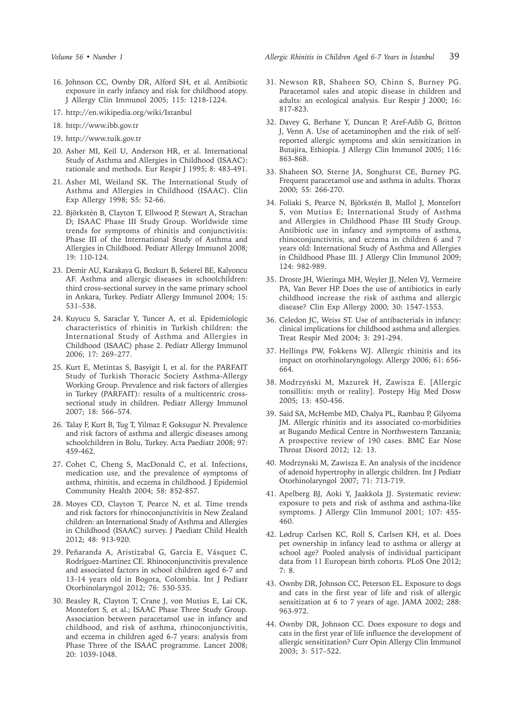- 16. Johnson CC, Ownby DR, Alford SH, et al. Antibiotic exposure in early infancy and risk for childhood atopy. J Allergy Clin Immunol 2005; 115: 1218-1224.
- 17. http://en.wikipedia.org/wiki/Istanbul
- 18. http://www.ibb.gov.tr
- 19. http://www.tuik.gov.tr
- 20. Asher MI, Keil U, Anderson HR, et al. International Study of Asthma and Allergies in Childhood (ISAAC): rationale and methods. Eur Respir J 1995; 8: 483-491.
- 21. Asher MI, Weiland SK. The International Study of Asthma and Allergies in Childhood (ISAAC). Clin Exp Allergy 1998; S5: 52-66.
- 22. Björkstén B, Clayton T, Ellwood P, Stewart A, Strachan D; ISAAC Phase III Study Group. Worldwide time trends for symptoms of rhinitis and conjunctivitis: Phase III of the International Study of Asthma and Allergies in Childhood. Pediatr Allergy Immunol 2008; 19: 110-124.
- 23. Demir AU, Karakaya G, Bozkurt B, Sekerel BE, Kalyoncu AF. Asthma and allergic diseases in schoolchildren: third cross-sectional survey in the same primary school in Ankara, Turkey. Pediatr Allergy Immunol 2004; 15: 531–538.
- 24. Kuyucu S, Saraclar Y, Tuncer A, et al. Epidemiologic characteristics of rhinitis in Turkish children: the International Study of Asthma and Allergies in Childhood (ISAAC) phase 2. Pediatr Allergy Immunol 2006; 17: 269–277.
- 25. Kurt E, Metintas S, Basyigit I, et al. for the PARFAIT Study of Turkish Thoracic Society Asthma-Allergy Working Group. Prevalence and risk factors of allergies in Turkey (PARFAIT): results of a multicentric crosssectional study in children. Pediatr Allergy Immunol 2007; 18: 566–574.
- 26. Talay F, Kurt B, Tug T, Yilmaz F, Goksugur N. Prevalence and risk factors of asthma and allergic diseases among schoolchildren in Bolu, Turkey. Acta Paediatr 2008; 97: 459-462.
- 27. Cohet C, Cheng S, MacDonald C, et al. Infections, medication use, and the prevalence of symptoms of asthma, rhinitis, and eczema in childhood. J Epidemiol Community Health 2004; 58: 852-857.
- 28. Moyes CD, Clayton T, Pearce N, et al. Time trends and risk factors for rhinoconjunctivitis in New Zealand children: an International Study of Asthma and Allergies in Childhood (ISAAC) survey. J Paediatr Child Health 2012; 48: 913-920.
- 29. Peñaranda A, Aristizabal G, García E, Vásquez C, Rodríguez-Martinez CE. Rhinoconjunctivitis prevalence and associated factors in school children aged 6-7 and 13-14 years old in Bogota, Colombia. Int J Pediatr Otorhinolaryngol 2012; 76: 530-535.
- 30. Beasley R, Clayton T, Crane J, von Mutius E, Lai CK, Montefort S, et al.; ISAAC Phase Three Study Group. Association between paracetamol use in infancy and childhood, and risk of asthma, rhinoconjunctivitis, and eczema in children aged 6-7 years: analysis from Phase Three of the ISAAC programme. Lancet 2008; 20: 1039-1048.
- 31. Newson RB, Shaheen SO, Chinn S, Burney PG. Paracetamol sales and atopic disease in children and adults: an ecological analysis. Eur Respir J 2000; 16: 817-823.
- 32. Davey G, Berhane Y, Duncan P, Aref-Adib G, Britton J, Venn A. Use of acetaminophen and the risk of selfreported allergic symptoms and skin sensitization in Butajira, Ethiopia. J Allergy Clin Immunol 2005; 116: 863-868.
- 33. Shaheen SO, Sterne JA, Songhurst CE, Burney PG. Frequent paracetamol use and asthma in adults. Thorax 2000; 55: 266-270.
- 34. Foliaki S, Pearce N, Björkstén B, Mallol J, Montefort S, von Mutius E; International Study of Asthma and Allergies in Childhood Phase III Study Group. Antibiotic use in infancy and symptoms of asthma, rhinoconjunctivitis, and eczema in children 6 and 7 years old: International Study of Asthma and Allergies in Childhood Phase III. J Allergy Clin Immunol 2009; 124: 982-989.
- 35. Droste JH, Wieringa MH, Weyler JJ, Nelen VJ, Vermeire PA, Van Bever HP. Does the use of antibiotics in early childhood increase the risk of asthma and allergic disease? Clin Exp Allergy 2000; 30: 1547-1553.
- 36. Celedon JC, Weiss ST. Use of antibacterials in infancy: clinical implications for childhood asthma and allergies. Treat Respir Med 2004; 3: 291-294.
- 37. Hellings PW, Fokkens WJ. Allergic rhinitis and its impact on otorhinolaryngology. Allergy 2006; 61: 656- 664.
- 38. Modrzyński M, Mazurek H, Zawisza E. [Allergic tonsillitis: myth or reality]. Postepy Hig Med Dosw 2005; 13: 450-456.
- 39. Said SA, McHembe MD, Chalya PL, Rambau P, Gilyoma JM. Allergic rhinitis and its associated co-morbidities at Bugando Medical Centre in Northwestern Tanzania; A prospective review of 190 cases. BMC Ear Nose Throat Disord 2012; 12: 13.
- 40. Modrzynski M, Zawisza E. An analysis of the incidence of adenoid hypertrophy in allergic children. Int J Pediatr Otorhinolaryngol 2007; 71: 713-719.
- 41. Apelberg BJ, Aoki Y, Jaakkola JJ. Systematic review: exposure to pets and risk of asthma and asthma-like symptoms. J Allergy Clin Immunol 2001; 107: 455- 460.
- 42. Lødrup Carlsen KC, Roll S, Carlsen KH, et al. Does pet ownership in infancy lead to asthma or allergy at school age? Pooled analysis of individual participant data from 11 European birth cohorts. PLoS One 2012; 7: 8.
- 43. Ownby DR, Johnson CC, Peterson EL. Exposure to dogs and cats in the first year of life and risk of allergic sensitization at 6 to 7 years of age. JAMA 2002; 288: 963-972.
- 44. Ownby DR, Johnson CC. Does exposure to dogs and cats in the first year of life influence the development of allergic sensitization? Curr Opin Allergy Clin Immunol 2003; 3: 517–522.